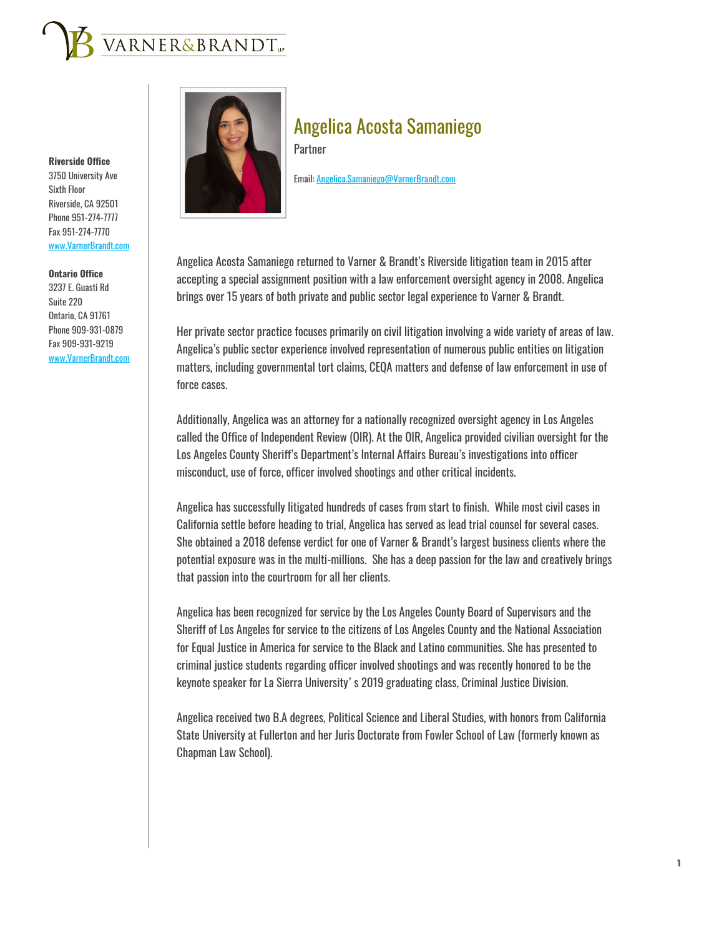

**Riverside Office**

3750 University Ave Sixth Floor Riverside, CA 92501 Phone 951-274-7777 Fax 951-274-7770 www.VarnerBrandt.com

**Ontario Office** 3237 E. Guasti Rd Suite 220 Ontario, CA 91761 Phone 909-931-0879 Fax 909-931-9219 www.VarnerBrandt.com



# Angelica Acosta Samaniego

**Partner** 

Email: Angelica.Samaniego@VarnerBrandt.com

Angelica Acosta Samaniego returned to Varner & Brandt's Riverside litigation team in 2015 after accepting a special assignment position with a law enforcement oversight agency in 2008. Angelica brings over 15 years of both private and public sector legal experience to Varner & Brandt.

Her private sector practice focuses primarily on civil litigation involving a wide variety of areas of law. Angelica's public sector experience involved representation of numerous public entities on litigation matters, including governmental tort claims, CEQA matters and defense of law enforcement in use of force cases.

Additionally, Angelica was an attorney for a nationally recognized oversight agency in Los Angeles called the Office of Independent Review (OIR). At the OIR, Angelica provided civilian oversight for the Los Angeles County Sheriff's Department's Internal Affairs Bureau's investigations into officer misconduct, use of force, officer involved shootings and other critical incidents.

Angelica has successfully litigated hundreds of cases from start to finish. While most civil cases in California settle before heading to trial, Angelica has served as lead trial counsel for several cases. She obtained a 2018 defense verdict for one of Varner & Brandt's largest business clients where the potential exposure was in the multi-millions. She has a deep passion for the law and creatively brings that passion into the courtroom for all her clients.

Angelica has been recognized for service by the Los Angeles County Board of Supervisors and the Sheriff of Los Angeles for service to the citizens of Los Angeles County and the National Association for Equal Justice in America for service to the Black and Latino communities. She has presented to criminal justice students regarding officer involved shootings and was recently honored to be the keynote speaker for La Sierra University's 2019 graduating class, Criminal Justice Division.

Angelica received two B.A degrees, Political Science and Liberal Studies, with honors from California State University at Fullerton and her Juris Doctorate from Fowler School of Law (formerly known as Chapman Law School).